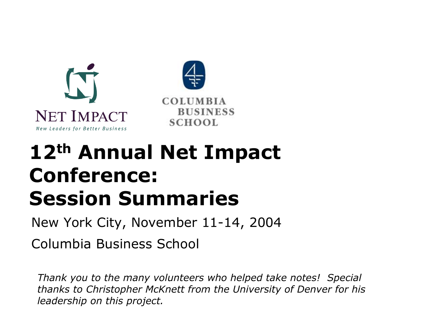



# **12th Annual Net Impact Conference: Session Summaries**

New York City, November 11-14, 2004

Columbia Business School

*Thank you to the many volunteers who helped take notes! Special thanks to Christopher McKnett from the University of Denver for his leadership on this project.*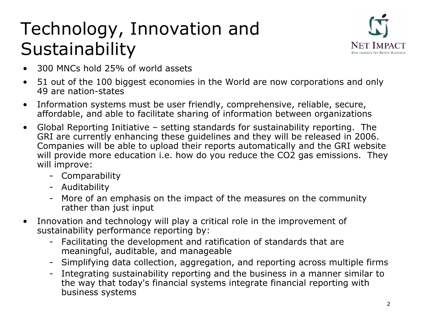### Technology, Innovation and Sustainability



- •300 MNCs hold 25% of world assets
- •• 51 out of the 100 biggest economies in the World are now corporations and only 49 are nation-states
- •Information systems must be user friendly, com prehensive, reliable, secure, affordable, and able to facilitate sharing of information between organizations
- $\bullet$ Global Reporting Initiative – setting standards for sustainability reporting. The GRI are currently enhancing these guidelines and they will be released in 2006. Companies will be able to upload their repor ts automatically and the GRI website will provide more education i.e. how do you reduce the CO2 gas emissions. They will improve:
	- Comparability
	- Auditability
	- -More of an emphasis on the impact of the measures on the community rather than just input
- •Innovation and technology will play a critical role in the improvement of sustainability performance reporting by:
	- -Facilitating the development and ratification of standards that are meaningful, auditable, and m anageable
	- -Simplifying data collection, aggregation, and reporting across multiple firms
	- -Integrating sustainability reporting and the business in a manner similar to the way that today's financial systems integrate financial reporting with business systems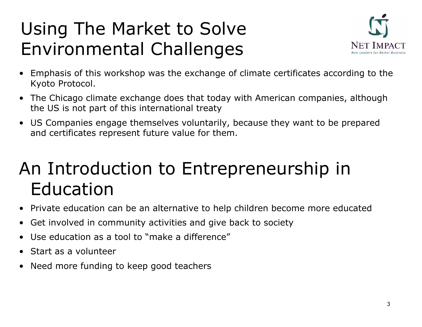### Using The Market to Solve Environmental Challenges



- $\bullet$  Emphasis of this workshop was the exchange of climate certificates according to the Kyoto Protocol.
- $\bullet$  The Chicago climate exchange does that today with American companies, although the US is not part of this international treaty
- US Companies engage themselves voluntarily, because they want to be prepared and certificates represent future value for them.

#### An Introduction to Entrepreneurship in Education

- $\bullet$ Private education can be an alternative to help children become more educated
- $\bullet$ Get involved in community activities and give back to society
- •Use education as a tool to "make a difference"
- $\bullet$ Start as a volunteer
- •Need more funding to keep good teachers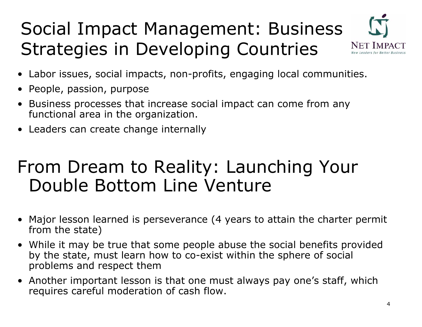### Social Impact Management: Business Strategies in Developing Countries



- Labor issues, social impacts, non-profits, engaging local communities.
- People, passion, purpose
- Busine ss processes that increase social impact can come from any functional area in the organization.
- Leaders can create change internally

#### From Dream to Reality: Launching Your Double Bottom Line Venture

- Major lesson learned is perseverance (4 years to attain the charter permit from the state)
- While it may be true that some people abuse the social benefits pro vided by the state, must learn how to co-exist within the sphere of social problems and respect them
- Another important lesson is that one must always pay one's staff, which requires careful moderation of cash flow.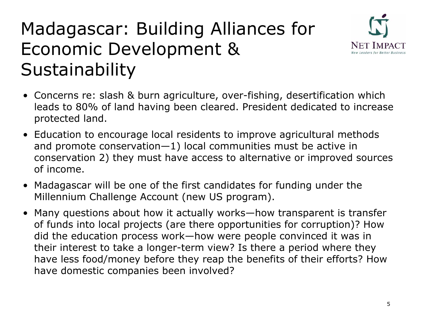### Madagascar: Building Alliances for Economic Development & Sustainability



- Concerns re: slash & burn agriculture, over-fishing, desertification which leads to 80% of land having been cleared. President dedicated to increase protected land.
- Education to encourage local residents to improve agricultural methods and promote conservation—1) local commu nities must be active in conservation 2) they must have access to alternative or improved sources of income.
- Madagascar will be one of the first candidates for funding under the Millennium Challenge Account (new US program).
- •Many questions about how it actually works—how transparent is transfer of funds into local projects (are there opportunities for corruption)? How did the education process work—how were people con vinced it was in their i nterest to take a longer-term view? Is there a period where they have less food/money before they reap the benefits of their efforts? How have domestic companies been involved?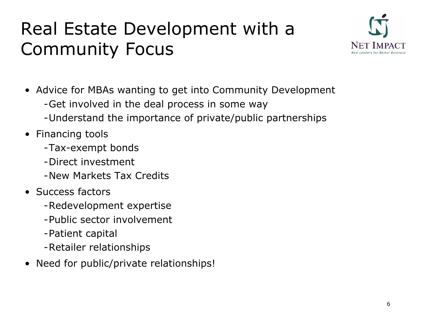### Real Estate Development with a Community Focus



- Advice for MBAs w anting to get into C ommunity Development - Get involved in the deal process in some way
	- Understand the importa nce of private/public partnerships
- Financing tools
	- -Tax-exempt bonds
	- -Direct investment
	- -New Markets Tax Credits
- Success factors
	- Redevelopment expertise
	- -Public sector involvement
	- -Patient capital
	- Retailer relationships
- Need for public/private relationships!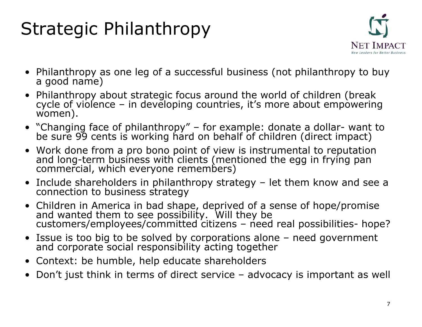### Strategic Philanthropy



- Philanthropy as one leg of a successful business (not philanthropy to buy<br>a good name)
- $\bullet$ cycle of violence – in developing countries, it's more about empowering women).
- "Changing face of philanthropy" for example: donate a dollar-want to be sure 99 cents is working har d on behalf of children (direct impact)
- Work done from a pro bono point of view is instrumental to reputation and long-term business with clients (mentioned the egg in frying pan commercial, which everyone remembers)
- Include shareholders in philanthropy strategy – let them know and see a<br>connection to business strategy
- Children in America in bad shape, deprived of a sense of hope/promise and wanted them to see possibility. Will they be<br>customers/employees/committed citizens – need real possibilities- hope?
- Issue is too big to be solved by corporations alone need government and corporate social responsibility acting together
- Context: be humble, help educate shareholders
- Don't j ust think in terms of direct service advocacy is i mportant as well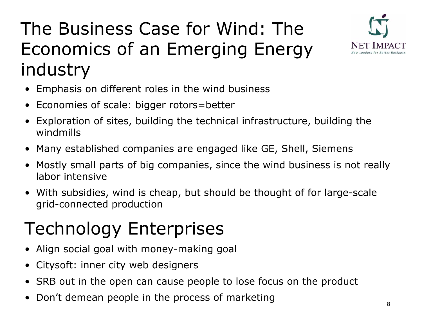### The Business Case for Wind: The Economics of an Emerging Energy industry



- $\bullet$ Emph asis on different roles in the wind business
- Economies of scale: bigger rotors=better
- $\bullet$ Explor ation of sites, building the technical infrastructure, building the windmills
- Many established companies are engaged like GE, Shell, Siemens
- Mostly small parts of big companies, since the wind business is not really labor intensive
- With subsidies, wind is cheap, but should be thought of for large-scale grid-connected production

## Technology Enterprises

- $\bullet$ Align social goal with money-making goal
- •Citysoft: inner city web designers
- SRB o ut in the open can cause people to lose focus on the product
- $\bullet$ Don't demean people in the process of marketing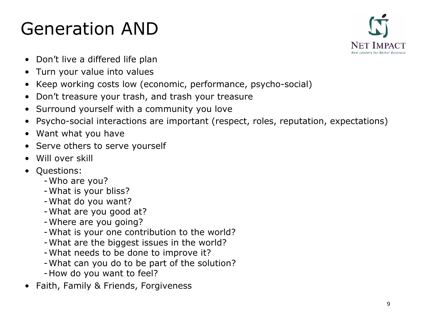### Generation AND



- Don't live a differed life plan
- •Turn your value into values
- Keep working costs low (economic, performance, psycho-social)
- $\bullet$ Don't treasure your trash, and trash your treasure
- Surround yourself with a community you love
- $\bullet$ Psycho-social interactions are important (respect, roles, reputation, expectations)
- Want what you have
- Serve others to serve yourself
- •Will over skill
- • Questions:
	- -Who are you?
	- -What is your bliss?
	- -What do you want?
	- -What are you good at?
	- -Where are you going?
	- -What is your one contribution to the world?
	- -What are the biggest issues in the world?
	- -What needs to be done to improve it?
	- -What can you do to be part of the solution?
	- -How do you want to feel?
- $\bullet$ Faith, Family & Friends, Forgiveness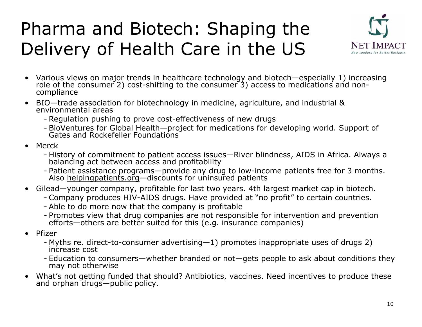### Pharma and Biotech: Shaping the Delivery of Health Care in the US



- $\bullet$ Various views on major trends in healthcare technology and biotech—especially 1) increasing<br>role of the consumer 2) cost-shifting to the consumer 3) access to medications and noncompliance
- BIO—trade association for biotechnology in medicine, agriculture, and industrial &<br>environmental areas
	- Regulati on p ushi ng to prove cost-effective ness of new drugs
	- BioVentures for Global Health—project for medications for developing world. Support of Gates and Rockefeller Foundations
- Merck
	- History of commitment to patient access issues—River blindness, AIDS i History of commitment to patient access issues—River blindness, AIDS in Africa. Always a<br>balancing act between access and profitability
	- Patient assistance programs—provide any drug to low-income patients free for 3 months.<br>Also <u>helpingpatients.org</u>—discounts for uninsured patients
- Gilead—younger company, profitable for last two years. 4th largest market cap in biotech.
	- Company produces HIV-AIDS drugs. Have provided at "no profit" to certain countries.
	- Able to do mor e now that the company is profitable
	- Promotes view that drug companies are not responsi ble for i ntervention and p reve ntion efforts—others are better suited for this (e.g. insurance companies)
- • Pfizer
	- Myths re. direct-to-consumer advertising—1) promotes inappropriate uses of drugs 2)<br>increase cost
	- Education to consumers—whether branded or not—gets people to ask about conditions they may not otherwi se
- $\bullet$ What's not getting funded that shoul d? Anti biotics, vaccines. Nee d i ncenti What's not getting funded that should? Antibiotics, vaccines. Need incentives to produce these<br>and orphan drugs—public policy.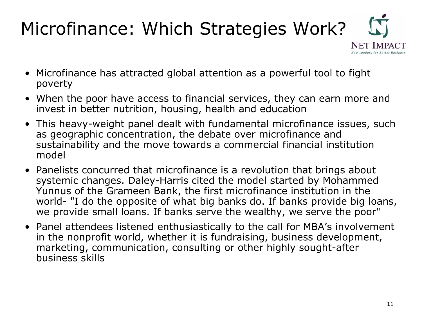### Microfinance: Which Strategies Work?



- Microfinance has attracted global attention as a powerful tool to fight poverty
- When the poor have access to financial services, they can earn more and invest in better nutrition, housing, health and education
- This heavy-weight panel dealt with fundamental microfinance issues, such as geographic concentration, the debate over microfinance and sustainability and the move towards a commercial financial institution model
- Panelists concurred that microfinance is a revolution that brings about syste mic changes. Daley-Harris cited the model sta rted by Mohammed Yunnus of the Grameen Bank, the first microfinance instituti on in the world- "I do the opposite of what big banks do. If banks provide big loans, we provide small loans. If banks serve the wealthy, we serve the poor"
- Panel attendees listened enthusiastically to the call for MBA's involvement in the nonprofit world, whether it is fundr aising, business development, marketing, communication, consulting or other highly sought-after business skills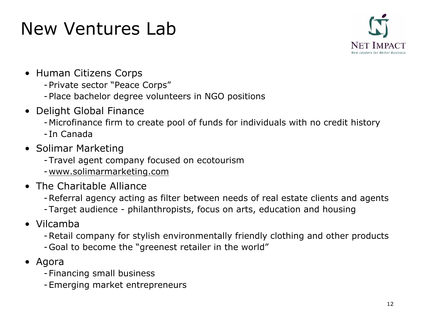#### New Ventures Lab



- Human Citizens Corps
	- Private sector "Peace Corps"
	- Place bachelor degree volunteers in NGO positions
- Delight Global Finance
	- Microfinance firm to create pool of funds for individuals with no credit history
	- -In Canada
- Solimar Marketing
	- Travel agent company focused on ecotourism
	- -www.solimarmarketing.com
- The Charitable Alliance
	- Referral agency acting as filter between needs of r eal estate clients and agents
	- Target audience philanthropists, focus on arts, education and housing
- Vilcamba
	- Retail company for stylish environmentally friendly clothing and other products
	- Goal to becom e the "greenest retailer in the world"
- $\bullet$  Agora
	- Financing small business
	- Emerging market entrepreneurs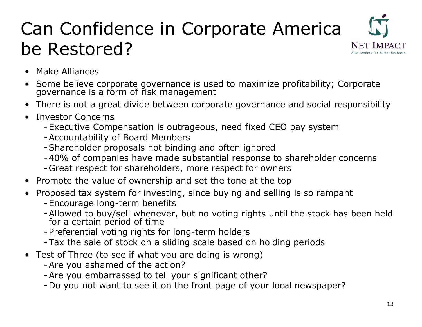### Can Confidence in Corporate America be Restored?



- •Make Alliances
- Some believe corporate governance is used to maximize profitability; Corporate<br>governance is a form of risk management
- $\bullet$ There is not a great divide between corporate governance and social responsibility
- •Investor Concerns
	- Executive Compensation is outrageous, need fixed CEO pay system
	- Accountability of Board Members
	- Shareholder proposals not binding and often ignored
	- 40% of com panies have made substantial response to shareholder concerns
	- Great respect for shareholders, more respect for owners
- $\bullet$ Promote the value of ownership and set the tone at the top
- $\bullet$ Proposed tax system for investing, since buying and selling is so rampant
	- Encourage long-term benefits
	- Allowed to buy/sell whenever, but no voting rights until the stock has been held<br>for a certain period of time
	- Preferential voting rights for long-term holders
	- Tax the sale of stock on a sliding scale based on holding periods
- Test of Three (to see if what you are doing is wrong)
	- Are you ashamed of the action?
	- Are you embarrassed to tell your significant other?
	- Do you not want to see it on the front page of your local newspaper?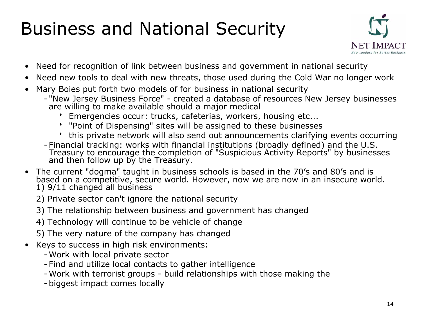### Business and National Security



- $\bullet$ N e ed for recognition of link betwe en business and government in national security
- Need new tools to deal with new threats, those used during the Cold War no longer work
- •Mary Boies put forth two models of for business in national security
	- "New Jersey Business Force" created a database of resources New Jersey businesses are willing to make available should a major medical
		- b Emergencies occur: trucks, cafeterias, workers, housing etc...
		- **BET THE Proint of Dispensing" sites will be assigned to these businesses**
		- this private network will also send out announcements clarifying events occurring
	- Financial tracking: works wit h financial institutions (broadly defined) and th e U.S. Treasury to encourage the completion of "Suspicious Activity Reports" by businesses and then follow up by the Treasury.
- The current "dogma" taught in business schools is based in the 70's and 80's and is<br>based on a competitive, secure world. However, now we are now in an insecure world. 1) 9/11 changed all busine s s
	- 2) Private sector can't ignore the national security
	- 3) The rel ations hip between business and government has changed
	- 4) T echnology will continu e to be v ehicle of change
	- 5) The very nat ure of the company has chang e d
- •Keys to succe ss in hig h risk environments:
	- -Work with local priva te sector
	- -Find and utilize local contacts to gath er intelligence
	- -Work with terrorist groups build relationships with those making the
	- -biggest impact comes l ocally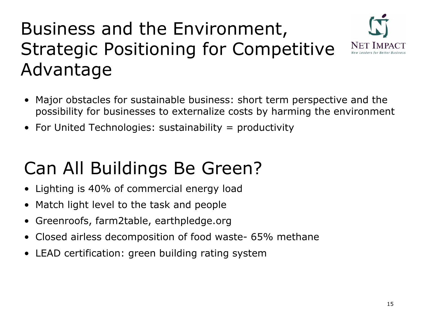### Business and the Environment, Strategic Positioning for Competitive Advantage



- Major obstacles for sustainable business: short term perspective and the possibility for businesses to externalize costs by harming the environment
- For United Technologies: sustainability = productivity

### Can All Buildings Be Green?

- •Lighting is 4 0 % of commercial e nergy load
- Match light level to the task and people
- •Greenroofs, farm2table, earthpledge.org
- •Closed airless decomposition of food waste- 65% methane
- •LEAD certification: green building rating system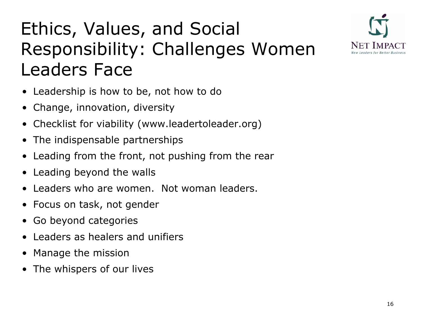### Ethics, Values, and Social Responsibility: Challenges Women Leaders Face



- Leadership is how to be, not how to do
- •Change, innovation, diversity
- Checklist for viability (www.leadertoleader.o rg)
- $\bullet$ The indispensable partnerships
- $\bullet$ Leading from the front, not pushing from the rear
- •Leading beyond the walls
- •Leaders who are women. Not woman leaders.
- Focus on task, not gender
- •Go beyond categories
- •Leaders as healers and unifiers
- Manage the mission
- The w hispers of our lives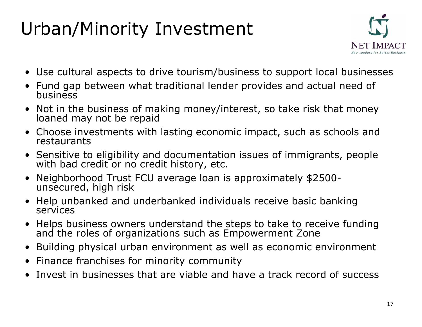## Urban/Minority Investment



- Use cultural aspects to drive tourism/business to support local businesses
- Fund gap between what traditional lender provides and actual need of<br>business
- Not in the business of making money/interest, so take risk that money<br>loaned may not be repaid
- Choose investments with lasting economic impact, such as schools and restaurants
- Sensitive to eligibility and documentation issues of immigrants, people with bad credit or no credit history, etc.
- Neighborhood Trust FCU average loan is approximately \$ 2 500 unsecured, high risk
- Help unbanked and underbanked individuals receive basic ban king services
- Helps business owners understand the steps to take to receive fundi and the roles of organizations such as Empowerment Zone
- Building physical urban environment as well as economic environment
- Finance franchises for minority community
- •Invest in businesses that are viable and have a track record of success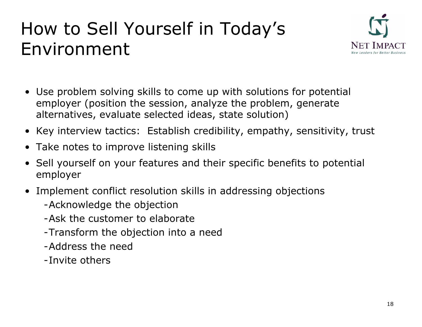#### How to Sell Yourself in Today's Environment



- Use problem solving skills to come up with solutions for potential employer (position the session, analyze the problem, generate alternatives, evaluate selecte d ideas, state solution)
- Key interview tactics: Establish credibility, empathy, sensitivity, trust
- Take notes to improve listening skills
- Sell yourself on your features and their specific benefits to potential employer
- Implement conflict resolution skills in addressing objections
	- A c k n owledge the obj ection
	- -Ask the customer to elaborate
	- Transform the objection i nto a need
	- -Address the need
	- -Invite others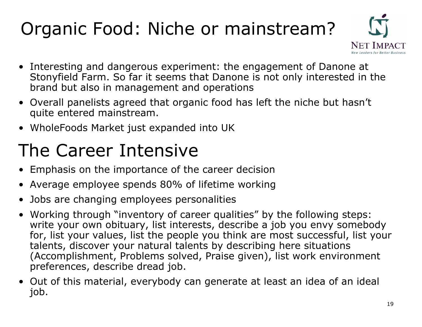## Organic Food: Niche or mainstream?



- Interesting and dangerous experiment: the engagement of Danone at Stonyfield Farm. So far it seems that Danone is not only intereste d in the brand but also in management and operations
- Over all panelists agreed that organic food has left the niche but hasn't quite entered mainstrea m.
- WholeFoods Market just expanded into UK

### The Career Intensive

- •Emph asis on the importance of the career decision
- •Average employee spends 80% of lifetime working
- •Jobs are changing employees personalities
- Working through "inventory of career qualities" by the following steps: write your own obituary, list interests, describe a job you envy somebody for, list your values, list the people you think are most successful, list your talents, discover your natural talents by describing here situations (Acc o mplishment, Problems solved, Praise given), list wor k environment preferences, describe dread job.
- Out of this material, everybody can generate at least an idea of an ideal job.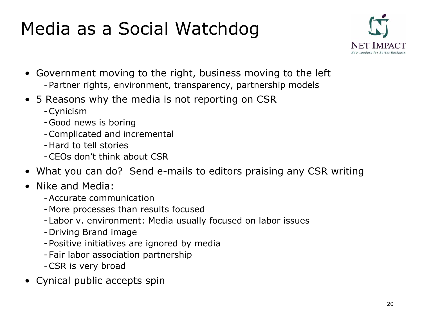### Media as a Social Watchdog



- Government moving to the right, business moving to the left - Partner rights, environment, transparency, partnership m odels
- 5 Reasons why the media is not reporting on CSR
	- Cynicism
	- Good news is boring
	- Complicated and incremental
	- -Hard to tell stories
	- -CEOs don't think about CSR
- What you can do? Send e-mails to editors praising any CSR writing
- Nike and Media:
	- -Accurate communication
	- More processes than results focused
	- Labor v. envir onment: Media usually focused on labor issues
	- Driving Brand image
	- Positive initiatives are ignored by media
	- Fair labor association partnership
	- CSR is very broad
- Cynical public accepts spin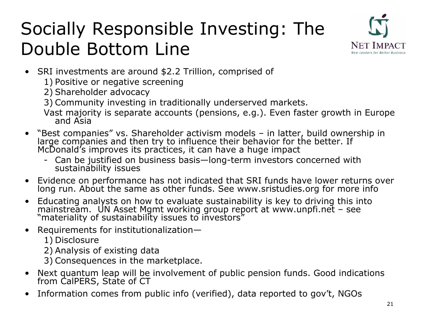### Socially Responsible Investing: The Double Bottom Line



- SRI investments are around \$2.2 Trillion, comprised of
	- 1) Positive or negative screening
	- 2) Shareholder advocacy
	- 3) Community investing in traditionally underserved markets.
	- Vast m st majority is separate accounts (pensions, e.g.). Even faster growth in Europe<br>and Asia and Asia
- $\bullet$ "Best companies" vs. Shareholder activism models – in latter, build ownership in lar ge companies and then try to influence their behavior for the better. If McDonald's improves its practices, it can have a huge impact
	- Can be justified on business basis—long-term investors concerned with<br>sustainability issues
- Evidence on performance has not indicated that SRI funds have lower returns over long run. About the same as other funds. See www.sristudies.org for more info
- Educating analysts on how to evaluate sustainability is key to driving this into mainstream. UN Asset Mgmt working group report at www.unpfi.net – see "materiality of sustainability issues to investors"
- $\bullet$ Requirements for institutionalization—
	- 1) Disclosure
	- 2) Analysis of existing data
	- 3) Consequences in the marketplace.
- Next quantum leap will be involvement of public pension funds. Good indications<br>from CalPERS, State of CT
- $\bullet$ Information comes from public info (verified), data reported to gov't, NGOs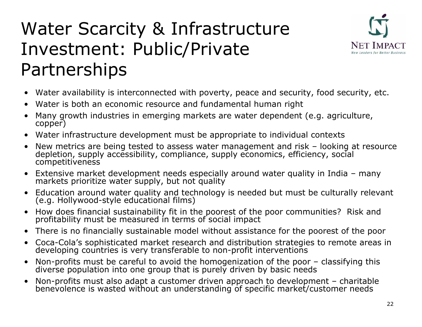### Water Scarcity & Infrastructure Investment: Public/Private Partnerships



- Water availability is interconnected with poverty, peace and security, food security, etc.
- Water is both an econo mic resource and fundamental human right
- Many growth industries in emerging markets are water depen dent (e.g. agriculture, copper)
- Water infrastructure development must be appropriate to individual contexts
- New metrics are being tested to assess water management and risk looking at resource deple tion, supply accessibility, compliance, supply economics, efficiency, social competitiveness
- Extensive market development needs especially around water quality in India many markets prioritize water supply, but not quality
- Education around water quality and technology is needed but must be culturally relevant (e.g. H ollywood-style educational films)
- How does financial sustainability fit in the poorest of the poor communities? Risk and<br>profitability must be measured in terms of social impact
- There is no financially sustainable model without assistance for t h e poorest of the poor
- Coca-Cola's sophisticated market research and distribution strategies to remote areas in developing countries is very transferable to non-profit interventions
- Non-profits must be careful to avoid the homogenization of the poor classifying this diverse population into one group th a t is purely driven by basic needs
- Non-profits must also adapt a customer driven approach to development charitable ben evolence is wasted without an unde rstanding of specific mark e t/customer n eeds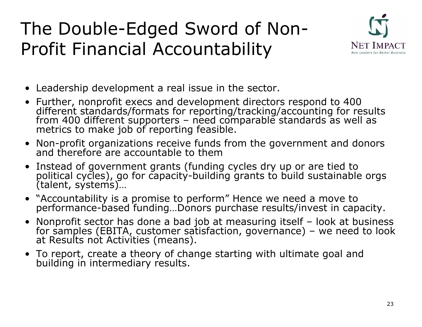### The Double-Edged Sword of Non-Profit Financial Accountability



- Leadership development a real issue in the sector.
- Further, nonprofit execs and development directors respond to 4 0 0 different standards/formats for reporting/tracking/accounting for results<br>from 400 different supporters – need comparable standards as well as<br>metrics to make job of reporting feasible.
- Non-profit organizations receive funds f rom the gover nment and don ors and therefore are accountable to them
- Instead of government grants (funding cycles dry up or are tie d to political cycles), go for capacity-building grants to build sustainable orgs (talent, systems)...
- "Accountability is a promise to perform" Hence we need a move to<br>performance-based funding...Donors purchase results/invest in capacity.
- Nonprofit sector has done a bad job at measu Nonprofit sector has done a bad job at measuring itself – look at business<br>for samples (EBITA, customer satisfaction, governance) – we need to look at Results not Activities (mean s).
- To report, create a theory of change starting with ultimate goal and<br>building in intermediary results.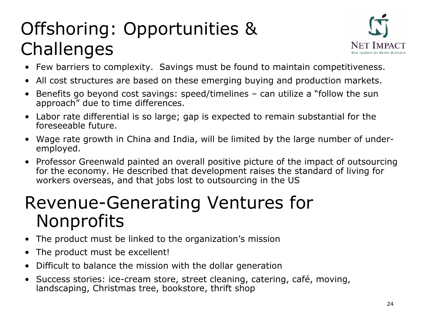## Offshoring: Opportunities & **Challenges**



- •Few barriers to complexity. Savings must be found to maintain competitiveness.
- All cost structures are based on these emerging buying and production markets.
- Benefits go beyond cost savings: speed/timelines can utilize a "follow the sun approach" due to time differences.
- Labor rate differential is so large; gap is expected to remain substantial for the foreseeable future.
- Wage rate growth in China and India, will be limited by the large number of underemployed.
- Professor Greenwald painted an overall positive picture of the impact of outsourcing for the economy. He described that development raises the standard of living for workers overseas, and that jobs lost to outsourcing in the US

#### Revenue-Generating Ventures for Nonprofits

- $\bullet$ The produ ct must be linked to the organization's mission
- $\bullet$ The produ ct must be excellent!
- Difficult to balance the mission with the dollar generation
- Success stories: ice-cream store, street cleaning, catering, café, moving, landscaping, Christmas tree, bookstore, thrift shop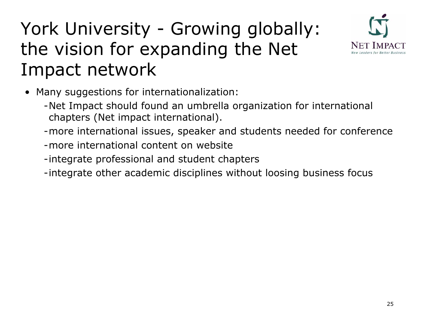### York University - Growing globally: the vision for expanding the Net Impact network



- Many suggestions for internationalization:
	- -Net Impact should found an umbrella organization for international chapters (Net impact international).
	- -more international issues, speaker and students needed for conference
	- -more international content on website
	- -integrate professional and student chapters
	- -integrate other academic disciplines without loosing business focus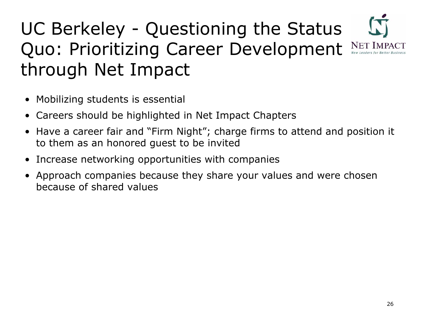### UC Berkeley - Questioning the Status Quo: Prioritizing Career Development NET IMPACT through Net Impact

- $\bullet$ Mobilizing students is essential
- Careers should be highlighted in Net Impact Chapters
- Have a career fair and "Firm Night"; charge firms to attend and position it to them as an honored guest to be invited
- Increase networking opportunities with companies
- Approach companies because they share your values and were chosen because of shared values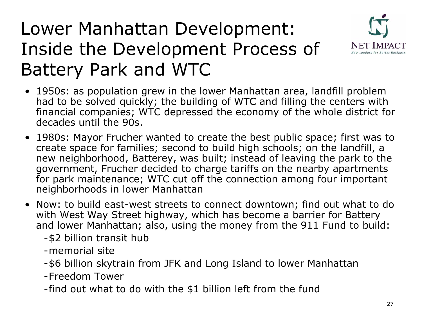#### Lower Manhattan Development: Inside the Development Process of Battery Park and WTC



- 1950s: as population grew in the lower Manhattan area, landfill problem had to be solved quickly; the building of WTC and filling the centers with financial companies; WTC depressed the economy of the whole district for decades until the 90s.
- 1980s: Mayor Frucher wanted to create the best public space; first was to create space for families; second to build high schools; on the landfill, a new neighborhood, Batterey, was built; instead of leaving the park to the government, Frucher decided to charge tariffs on the nearby apartments for park maintenance; WTC cut off the connection among four important nei ghborhoods in l o w er Manhattan
- Now: to build east-west streets to connect downtown; find out what to do with West Way Street highway, which has become a barrier for Battery and lower Manhattan; also, using the money from the 911 Fund to build:

- \$2 billion tra nsit hub

-memorial site

-\$6 billion skytrain from JFK and Long Island to lower Manhattan

-Freedom Tower

- find out what to do with the \$1 billi on l eft from the fund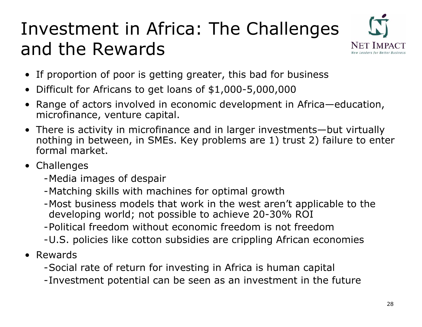### Investment in Africa: The Challenges and the Rewards



- If proportion of poor is getting greater, this bad for business
- Difficult for Africans to get loans of \$1,000-5,000,000
- $\bullet$ Range of actors involved in economic development i n Africa—education, microfinance, venture capital.
- There is activity in microfinance and in larger investments—but virtually nothing in between, in SMEs. Key problems are 1) trust 2) failure to enter formal market.
- Challenges
	- Media image s of despair
	- Matching skills with machines for optimal growth
	- Most business models that work in the west aren't applicable to the developing world; not possible to achieve 20-30% ROI
	- -Political freedom without economic freedom is not freedom
	- U.S. policies like cotton subsidies are crippli ng African economies
- Rewards
	- Social rate of return for investing in Africa is human capital
	- Investment potential can be seen as an investment in the future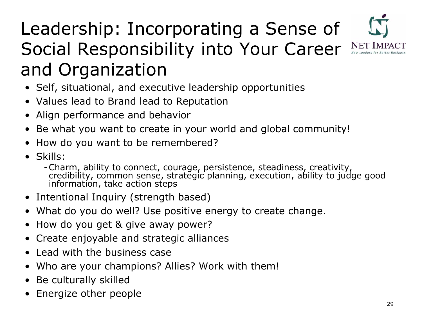## Leadership: Incorporating a Sense of Social Responsibility into Your Career NET IMP and Organization

- Self, situational, and executive leadership opportunities
- Values lead to Brand lead to Reputation
- Align performance and behavior
- Be what you want to create in your world and global community!
- How d o you want to be remembered?
- •Skills:
	- credibility, common sense, strategic planning, execution, ability to judge good information, take action steps
- Intentional Inquiry (strength based)
- What do you do well? Use positive energy to create change.
- How do you get & give away power?
- $\bullet$ Create enjoyable and strategic alliances
- $\bullet$ Lead with the business case
- Who are your champions? Allies? Work with them!
- Be culturally skilled
- Energize other people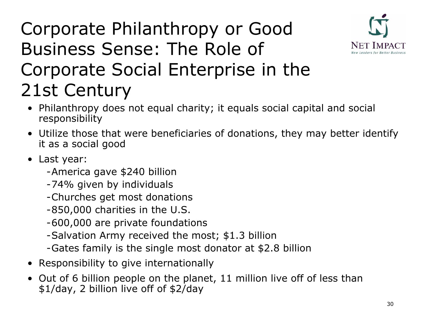

### Corporate Philanthropy or Good Business Sense: The Role of Corporate Social Enterprise in the 21st Century

- Philanthropy does not equal charity; it equals social capital and social responsibility
- Utilize those that were beneficiaries of donations, they may better identify it as a social good
- Last year:
	- -America gave \$240 billion
	- -74% given by individuals
	- Churches get most donations
	- 850,000 charities in the U.S.
	- -600,000 are private foundations
	- Salvation Army received the most; \$1.3 billion
	- Gates family is the single most donator at \$ 2.8 billion
- •Responsibility to give internation ally
- •Out of 6 billion people on the planet, 11 million live off of less than \$1/day, 2 billion live off of \$2/day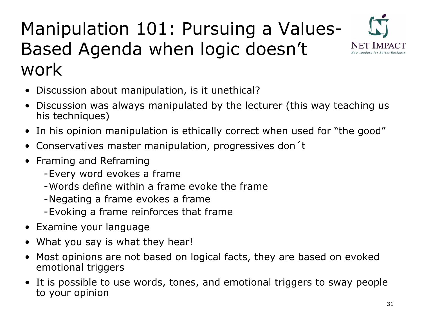#### Manipulation 101: Pursuing a Values-Based Agenda when logic doesn't work



- $\bullet$ Discussion about manipulation, is it unethical?
- Discussion was always manipulated by the lecturer (this way teaching us his techniques)
- $\bullet$ In his opinion manipulation is ethically correct when use d for "the good"
- $\bullet$ Conservatives master manipulation, progressives don´t
- Framing and Reframing
	- Every word evokes a frame
	- -Words define within a frame evoke the frame
	- Negating a frame evokes a frame
	- Evoking a frame reinforces that frame
- Examine your language
- What you say is what they hear!
- Most opinions are not based on logical facts, they are based on evoked emotion al triggers
- It is possible to use words, tones, and emotional triggers to sway people to your opinion